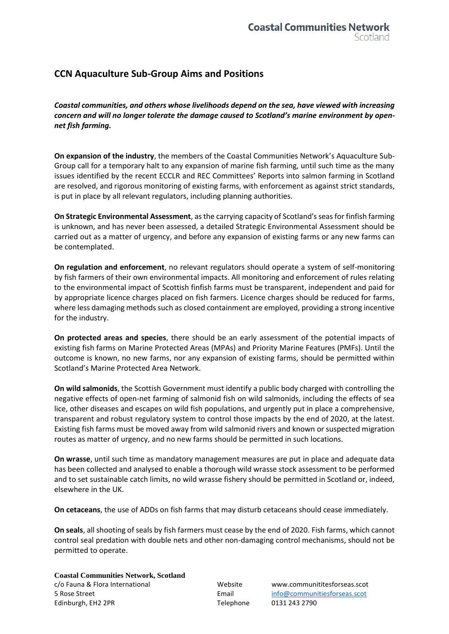## **CCN Aquaculture Sub-Group Aims and Positions**

*Coastal communities, and others whose livelihoods depend on the sea, have viewed with increasing concern and will no longer tolerate the damage caused to Scotland's marine environment by opennet fish farming.*

**On expansion of the industry**, the members of the Coastal Communities Network's Aquaculture Sub-Group call for a temporary halt to any expansion of marine fish farming, until such time as the many issues identified by the recent ECCLR and REC Committees' Reports into salmon farming in Scotland are resolved, and rigorous monitoring of existing farms, with enforcement as against strict standards, is put in place by all relevant regulators, including planning authorities.

**On Strategic Environmental Assessment**, as the carrying capacity of Scotland's seas for finfish farming is unknown, and has never been assessed, a detailed Strategic Environmental Assessment should be carried out as a matter of urgency, and before any expansion of existing farms or any new farms can be contemplated.

**On regulation and enforcement**, no relevant regulators should operate a system of self-monitoring by fish farmers of their own environmental impacts. All monitoring and enforcement of rules relating to the environmental impact of Scottish finfish farms must be transparent, independent and paid for by appropriate licence charges placed on fish farmers. Licence charges should be reduced for farms, where less damaging methods such as closed containment are employed, providing a strong incentive for the industry.

**On protected areas and species**, there should be an early assessment of the potential impacts of existing fish farms on Marine Protected Areas (MPAs) and Priority Marine Features (PMFs). Until the outcome is known, no new farms, nor any expansion of existing farms, should be permitted within Scotland's Marine Protected Area Network.

**On wild salmonids**, the Scottish Government must identify a public body charged with controlling the negative effects of open-net farming of salmonid fish on wild salmonids, including the effects of sea lice, other diseases and escapes on wild fish populations, and urgently put in place a comprehensive, transparent and robust regulatory system to control those impacts by the end of 2020, at the latest. Existing fish farms must be moved away from wild salmonid rivers and known or suspected migration routes as matter of urgency, and no new farms should be permitted in such locations.

**On wrasse**, until such time as mandatory management measures are put in place and adequate data has been collected and analysed to enable a thorough wild wrasse stock assessment to be performed and to set sustainable catch limits, no wild wrasse fishery should be permitted in Scotland or, indeed, elsewhere in the UK.

**On cetaceans**, the use of ADDs on fish farms that may disturb cetaceans should cease immediately.

**On seals**, all shooting of seals by fish farmers must cease by the end of 2020. Fish farms, which cannot control seal predation with double nets and other non-damaging control mechanisms, should not be permitted to operate.

**Coastal Communities Network, Scotland** c/o Fauna & Flora International Website www.communititesforseas.scot 5 Rose Street Email [info@communitiesforseas.scot](mailto:info@communitiesforseas.scot) Edinburgh, EH2 2PR Telephone 0131 243 2790